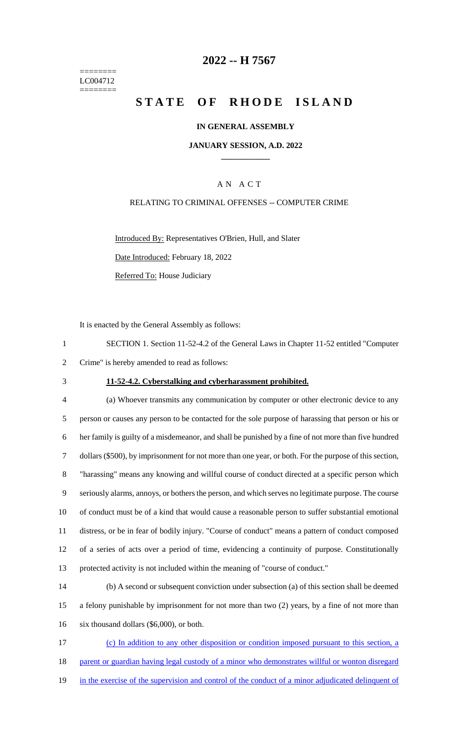======== LC004712 ========

## **2022 -- H 7567**

# **STATE OF RHODE ISLAND**

## **IN GENERAL ASSEMBLY**

### **JANUARY SESSION, A.D. 2022 \_\_\_\_\_\_\_\_\_\_\_\_**

## A N A C T

## RELATING TO CRIMINAL OFFENSES -- COMPUTER CRIME

Introduced By: Representatives O'Brien, Hull, and Slater Date Introduced: February 18, 2022 Referred To: House Judiciary

It is enacted by the General Assembly as follows:

| SECTION 1. Section 11-52-4.2 of the General Laws in Chapter 11-52 entitled "Computer" |
|---------------------------------------------------------------------------------------|
| 2 Crime" is hereby amended to read as follows:                                        |

## 3 **11-52-4.2. Cyberstalking and cyberharassment prohibited.**

 (a) Whoever transmits any communication by computer or other electronic device to any person or causes any person to be contacted for the sole purpose of harassing that person or his or her family is guilty of a misdemeanor, and shall be punished by a fine of not more than five hundred dollars (\$500), by imprisonment for not more than one year, or both. For the purpose of this section, "harassing" means any knowing and willful course of conduct directed at a specific person which seriously alarms, annoys, or bothers the person, and which serves no legitimate purpose. The course of conduct must be of a kind that would cause a reasonable person to suffer substantial emotional distress, or be in fear of bodily injury. "Course of conduct" means a pattern of conduct composed of a series of acts over a period of time, evidencing a continuity of purpose. Constitutionally protected activity is not included within the meaning of "course of conduct."

14 (b) A second or subsequent conviction under subsection (a) of this section shall be deemed 15 a felony punishable by imprisonment for not more than two (2) years, by a fine of not more than 16 six thousand dollars (\$6,000), or both.

17 (c) In addition to any other disposition or condition imposed pursuant to this section, a 18 parent or guardian having legal custody of a minor who demonstrates willful or wonton disregard 19 in the exercise of the supervision and control of the conduct of a minor adjudicated delinquent of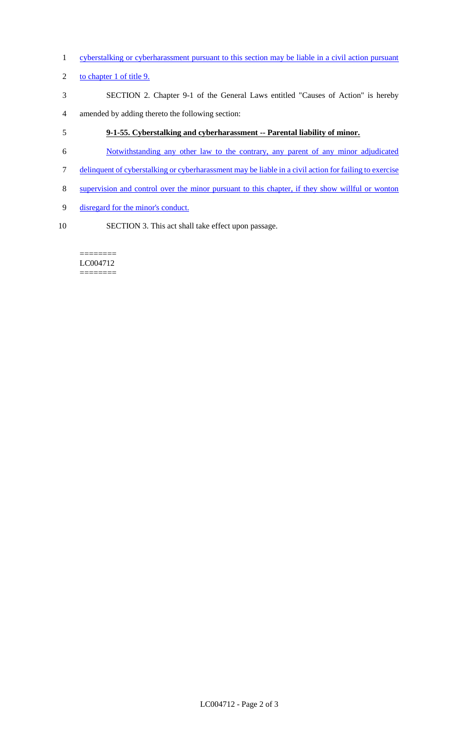- 1 cyberstalking or cyberharassment pursuant to this section may be liable in a civil action pursuant
- 2 to chapter 1 of title 9.
- 3 SECTION 2. Chapter 9-1 of the General Laws entitled "Causes of Action" is hereby
- 4 amended by adding thereto the following section:
- 5 **9-1-55. Cyberstalking and cyberharassment -- Parental liability of minor.**
- 6 Notwithstanding any other law to the contrary, any parent of any minor adjudicated
- 7 delinquent of cyberstalking or cyberharassment may be liable in a civil action for failing to exercise
- 8 supervision and control over the minor pursuant to this chapter, if they show willful or wonton
- 9 disregard for the minor's conduct.
- 10 SECTION 3. This act shall take effect upon passage.

#### ======== LC004712 ========